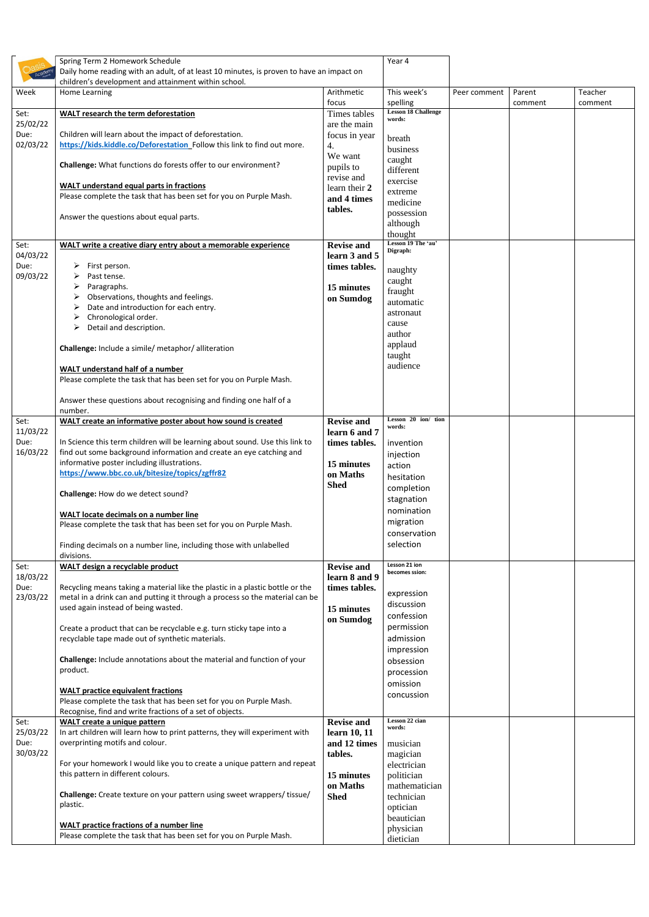|                  | Spring Term 2 Homework Schedule<br>Daily home reading with an adult, of at least 10 minutes, is proven to have an impact on<br>children's development and attainment within school. |                                    | Year 4                                 |              |         |         |
|------------------|-------------------------------------------------------------------------------------------------------------------------------------------------------------------------------------|------------------------------------|----------------------------------------|--------------|---------|---------|
| Week             | Home Learning                                                                                                                                                                       | Arithmetic<br>focus                | This week's                            | Peer comment | Parent  | Teacher |
| Set:             | <b>WALT research the term deforestation</b>                                                                                                                                         | Times tables                       | spelling<br><b>Lesson 18 Challenge</b> |              | comment | comment |
| 25/02/22         |                                                                                                                                                                                     | are the main                       | words:                                 |              |         |         |
| Due:             | Children will learn about the impact of deforestation.                                                                                                                              | focus in year                      | breath                                 |              |         |         |
| 02/03/22         | https://kids.kiddle.co/Deforestation Follow this link to find out more.                                                                                                             | 4.                                 | business                               |              |         |         |
|                  |                                                                                                                                                                                     | We want                            | caught                                 |              |         |         |
|                  | Challenge: What functions do forests offer to our environment?                                                                                                                      | pupils to                          | different                              |              |         |         |
|                  |                                                                                                                                                                                     | revise and                         | exercise                               |              |         |         |
|                  | <b>WALT</b> understand equal parts in fractions<br>Please complete the task that has been set for you on Purple Mash.                                                               | learn their 2                      | extreme                                |              |         |         |
|                  |                                                                                                                                                                                     | and 4 times<br>tables.             | medicine                               |              |         |         |
|                  | Answer the questions about equal parts.                                                                                                                                             |                                    | possession                             |              |         |         |
|                  |                                                                                                                                                                                     |                                    | although<br>thought                    |              |         |         |
| Set:             | WALT write a creative diary entry about a memorable experience                                                                                                                      | <b>Revise and</b>                  | Lesson 19 The 'au'                     |              |         |         |
| 04/03/22         |                                                                                                                                                                                     | learn 3 and 5                      | Digraph:                               |              |         |         |
| Due:             | First person.                                                                                                                                                                       | times tables.                      |                                        |              |         |         |
| 09/03/22         | Past tense.                                                                                                                                                                         |                                    | naughty                                |              |         |         |
|                  | Paragraphs.                                                                                                                                                                         | 15 minutes                         | caught<br>fraught                      |              |         |         |
|                  | Observations, thoughts and feelings.                                                                                                                                                | on Sumdog                          | automatic                              |              |         |         |
|                  | Date and introduction for each entry.                                                                                                                                               |                                    | astronaut                              |              |         |         |
|                  | Chronological order.                                                                                                                                                                |                                    | cause                                  |              |         |         |
|                  | Detail and description.                                                                                                                                                             |                                    | author                                 |              |         |         |
|                  | Challenge: Include a simile/ metaphor/ alliteration                                                                                                                                 |                                    | applaud                                |              |         |         |
|                  |                                                                                                                                                                                     |                                    | taught                                 |              |         |         |
|                  | <b>WALT understand half of a number</b>                                                                                                                                             |                                    | audience                               |              |         |         |
|                  | Please complete the task that has been set for you on Purple Mash.                                                                                                                  |                                    |                                        |              |         |         |
|                  | Answer these questions about recognising and finding one half of a                                                                                                                  |                                    |                                        |              |         |         |
| Set:<br>11/03/22 | number.<br>WALT create an informative poster about how sound is created                                                                                                             | <b>Revise and</b><br>learn 6 and 7 | Lesson 20 ion/ tion<br>words:          |              |         |         |
| Due:             | In Science this term children will be learning about sound. Use this link to                                                                                                        | times tables.                      | invention                              |              |         |         |
| 16/03/22         | find out some background information and create an eye catching and                                                                                                                 |                                    | injection                              |              |         |         |
|                  | informative poster including illustrations.                                                                                                                                         | 15 minutes                         | action                                 |              |         |         |
|                  | https://www.bbc.co.uk/bitesize/topics/zgffr82                                                                                                                                       | on Maths                           | hesitation                             |              |         |         |
|                  |                                                                                                                                                                                     | <b>Shed</b>                        | completion                             |              |         |         |
|                  | Challenge: How do we detect sound?                                                                                                                                                  |                                    | stagnation                             |              |         |         |
|                  | <b>WALT locate decimals on a number line</b>                                                                                                                                        |                                    | nomination                             |              |         |         |
|                  | Please complete the task that has been set for you on Purple Mash.                                                                                                                  |                                    | migration                              |              |         |         |
|                  |                                                                                                                                                                                     |                                    | conservation                           |              |         |         |
|                  | Finding decimals on a number line, including those with unlabelled<br>divisions.                                                                                                    |                                    | selection                              |              |         |         |
| Set:             | <b>WALT design a recyclable product</b>                                                                                                                                             | <b>Revise and</b>                  | Lesson 21 ion<br>becomes ssion:        |              |         |         |
| 18/03/22<br>Due: | Recycling means taking a material like the plastic in a plastic bottle or the                                                                                                       | learn 8 and 9<br>times tables.     |                                        |              |         |         |
| 23/03/22         | metal in a drink can and putting it through a process so the material can be                                                                                                        |                                    | expression                             |              |         |         |
|                  | used again instead of being wasted.                                                                                                                                                 | 15 minutes                         | discussion                             |              |         |         |
|                  |                                                                                                                                                                                     | on Sumdog                          | confession                             |              |         |         |
|                  | Create a product that can be recyclable e.g. turn sticky tape into a                                                                                                                |                                    | permission                             |              |         |         |
|                  | recyclable tape made out of synthetic materials.                                                                                                                                    |                                    | admission                              |              |         |         |
|                  | Challenge: Include annotations about the material and function of your                                                                                                              |                                    | impression                             |              |         |         |
|                  | product.                                                                                                                                                                            |                                    | obsession                              |              |         |         |
|                  |                                                                                                                                                                                     |                                    | procession<br>omission                 |              |         |         |
|                  | <b>WALT practice equivalent fractions</b>                                                                                                                                           |                                    | concussion                             |              |         |         |
|                  | Please complete the task that has been set for you on Purple Mash.                                                                                                                  |                                    |                                        |              |         |         |
|                  | Recognise, find and write fractions of a set of objects.                                                                                                                            |                                    | Lesson 22 cian                         |              |         |         |
| Set:<br>25/03/22 | WALT create a unique pattern<br>In art children will learn how to print patterns, they will experiment with                                                                         | <b>Revise and</b><br>learn 10, 11  | words:                                 |              |         |         |
| Due:             | overprinting motifs and colour.                                                                                                                                                     | and 12 times   musician            |                                        |              |         |         |
| 30/03/22         |                                                                                                                                                                                     | tables.                            | magician                               |              |         |         |
|                  | For your homework I would like you to create a unique pattern and repeat                                                                                                            |                                    | electrician                            |              |         |         |
|                  | this pattern in different colours.                                                                                                                                                  | 15 minutes                         | politician                             |              |         |         |
|                  |                                                                                                                                                                                     | on Maths                           | mathematician                          |              |         |         |
|                  | Challenge: Create texture on your pattern using sweet wrappers/ tissue/                                                                                                             | <b>Shed</b>                        | technician                             |              |         |         |
|                  | plastic.                                                                                                                                                                            |                                    | optician                               |              |         |         |
|                  | WALT practice fractions of a number line                                                                                                                                            |                                    | beautician<br>physician                |              |         |         |
|                  | Please complete the task that has been set for you on Purple Mash.                                                                                                                  |                                    | dietician                              |              |         |         |